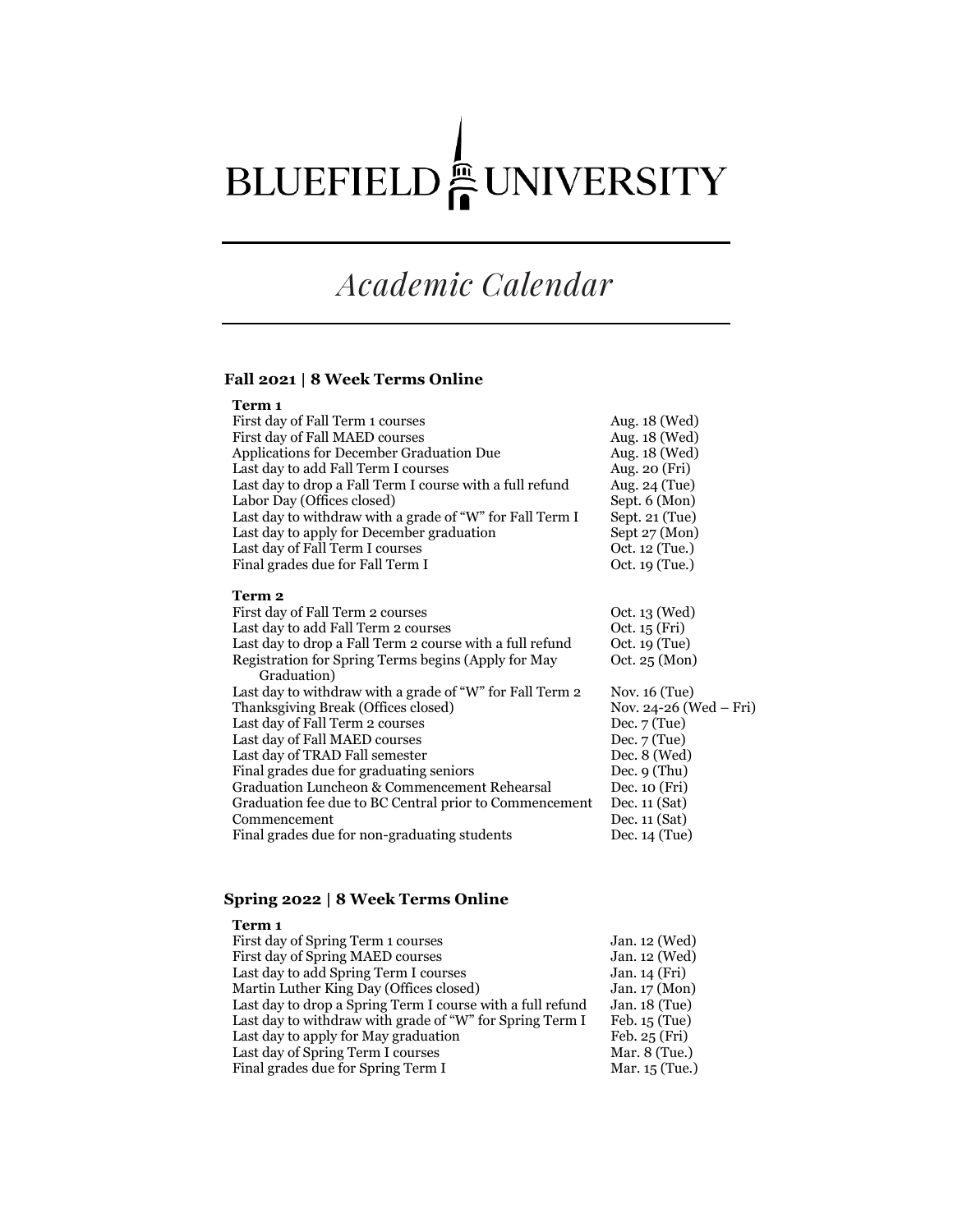# BLUEFIELD<sup>e</sup> UNIVERSITY

# *Academic Calendar*

# **Fall 2021 | 8 Week Terms Online**

| Term 1                                                             |                         |
|--------------------------------------------------------------------|-------------------------|
| First day of Fall Term 1 courses                                   | Aug. 18 (Wed)           |
| First day of Fall MAED courses                                     | Aug. 18 (Wed)           |
| Applications for December Graduation Due                           | Aug. 18 (Wed)           |
| Last day to add Fall Term I courses                                | Aug. 20 (Fri)           |
| Last day to drop a Fall Term I course with a full refund           | Aug. 24 (Tue)           |
| Labor Day (Offices closed)                                         | Sept. 6 (Mon)           |
| Last day to withdraw with a grade of "W" for Fall Term I           | Sept. 21 (Tue)          |
| Last day to apply for December graduation                          | Sept 27 (Mon)           |
| Last day of Fall Term I courses                                    | Oct. 12 (Tue.)          |
| Final grades due for Fall Term I                                   | Oct. 19 (Tue.)          |
| Term 2                                                             |                         |
| First day of Fall Term 2 courses                                   | Oct. 13 (Wed)           |
| Last day to add Fall Term 2 courses                                | Oct. 15 (Fri)           |
| Last day to drop a Fall Term 2 course with a full refund           | Oct. 19 (Tue)           |
| Registration for Spring Terms begins (Apply for May<br>Graduation) | Oct. $25 \text{ (Mon)}$ |
| Last day to withdraw with a grade of "W" for Fall Term 2           | Nov. $16$ (Tue)         |
| Thanksgiving Break (Offices closed)                                | Nov. 24-26 (Wed – Fri)  |
| Last day of Fall Term 2 courses                                    | Dec. $7$ (Tue)          |
| Last day of Fall MAED courses                                      | Dec. $7$ (Tue)          |
| Last day of TRAD Fall semester                                     | Dec. $8$ (Wed)          |
| Final grades due for graduating seniors                            | Dec. $9$ (Thu)          |
| Graduation Luncheon & Commencement Rehearsal                       | Dec. 10 (Fri)           |
| Graduation fee due to BC Central prior to Commencement             | Dec. $11(Sat)$          |
| Commencement                                                       | Dec. $11(Sat)$          |
| Final grades due for non-graduating students                       | Dec. $14$ (Tue)         |

### **Spring 2022 | 8 Week Terms Online**

| Term 1                                                     |                         |
|------------------------------------------------------------|-------------------------|
| First day of Spring Term 1 courses                         | Jan. 12 (Wed)           |
| First day of Spring MAED courses                           | Jan. 12 (Wed)           |
| Last day to add Spring Term I courses                      | Jan. 14 (Fri)           |
| Martin Luther King Day (Offices closed)                    | Jan. $17 \text{ (Mon)}$ |
| Last day to drop a Spring Term I course with a full refund | Jan. 18 (Tue)           |
| Last day to withdraw with grade of "W" for Spring Term I   | Feb. 15 (Tue)           |
| Last day to apply for May graduation                       | Feb. 25 (Fri)           |
| Last day of Spring Term I courses                          | Mar. $8$ (Tue.)         |
| Final grades due for Spring Term I                         | Mar. 15 (Tue.)          |